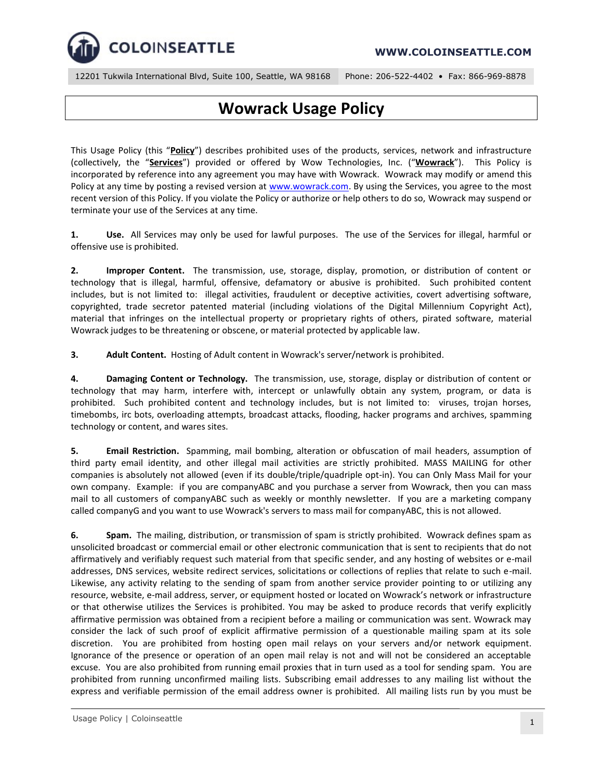

## **WWW.COLOINSEATTLE.COM**

12201 Tukwila International Blvd, Suite 100, Seattle, WA 98168 Phone: 206-522-4402 • Fax: 866-969-8878

## **Wowrack Usage Policy**

This Usage Policy (this "**Policy**") describes prohibited uses of the products, services, network and infrastructure (collectively, the "**Services**") provided or offered by Wow Technologies, Inc. ("**Wowrack**"). This Policy is incorporated by reference into any agreement you may have with Wowrack. Wowrack may modify or amend this Policy at any time by posting a revised version at [www.wowrack.com.](http://www.wowrack.com/) By using the Services, you agree to the most recent version of this Policy. If you violate the Policy or authorize or help others to do so, Wowrack may suspend or terminate your use of the Services at any time.

**1. Use.** All Services may only be used for lawful purposes. The use of the Services for illegal, harmful or offensive use is prohibited.

**2. Improper Content.** The transmission, use, storage, display, promotion, or distribution of content or technology that is illegal, harmful, offensive, defamatory or abusive is prohibited. Such prohibited content includes, but is not limited to: illegal activities, fraudulent or deceptive activities, covert advertising software, copyrighted, trade secretor patented material (including violations of the Digital Millennium Copyright Act), material that infringes on the intellectual property or proprietary rights of others, pirated software, material Wowrack judges to be threatening or obscene, or material protected by applicable law.

**3. Adult Content.** Hosting of Adult content in Wowrack's server/network is prohibited.

**4. Damaging Content or Technology.** The transmission, use, storage, display or distribution of content or technology that may harm, interfere with, intercept or unlawfully obtain any system, program, or data is prohibited. Such prohibited content and technology includes, but is not limited to: viruses, trojan horses, timebombs, irc bots, overloading attempts, broadcast attacks, flooding, hacker programs and archives, spamming technology or content, and wares sites.

**5. Email Restriction.** Spamming, mail bombing, alteration or obfuscation of mail headers, assumption of third party email identity, and other illegal mail activities are strictly prohibited. MASS MAILING for other companies is absolutely not allowed (even if its double/triple/quadriple opt-in). You can Only Mass Mail for your own company. Example: if you are companyABC and you purchase a server from Wowrack, then you can mass mail to all customers of companyABC such as weekly or monthly newsletter. If you are a marketing company called companyG and you want to use Wowrack's servers to mass mail for companyABC, this is not allowed.

**6. Spam.** The mailing, distribution, or transmission of spam is strictly prohibited. Wowrack defines spam as unsolicited broadcast or commercial email or other electronic communication that is sent to recipients that do not affirmatively and verifiably request such material from that specific sender, and any hosting of websites or e-mail addresses, DNS services, website redirect services, solicitations or collections of replies that relate to such e-mail. Likewise, any activity relating to the sending of spam from another service provider pointing to or utilizing any resource, website, e-mail address, server, or equipment hosted or located on Wowrack's network or infrastructure or that otherwise utilizes the Services is prohibited. You may be asked to produce records that verify explicitly affirmative permission was obtained from a recipient before a mailing or communication was sent. Wowrack may consider the lack of such proof of explicit affirmative permission of a questionable mailing spam at its sole discretion. You are prohibited from hosting open mail relays on your servers and/or network equipment. Ignorance of the presence or operation of an open mail relay is not and will not be considered an acceptable excuse. You are also prohibited from running email proxies that in turn used as a tool for sending spam. You are prohibited from running unconfirmed mailing lists. Subscribing email addresses to any mailing list without the express and verifiable permission of the email address owner is prohibited. All mailing lists run by you must be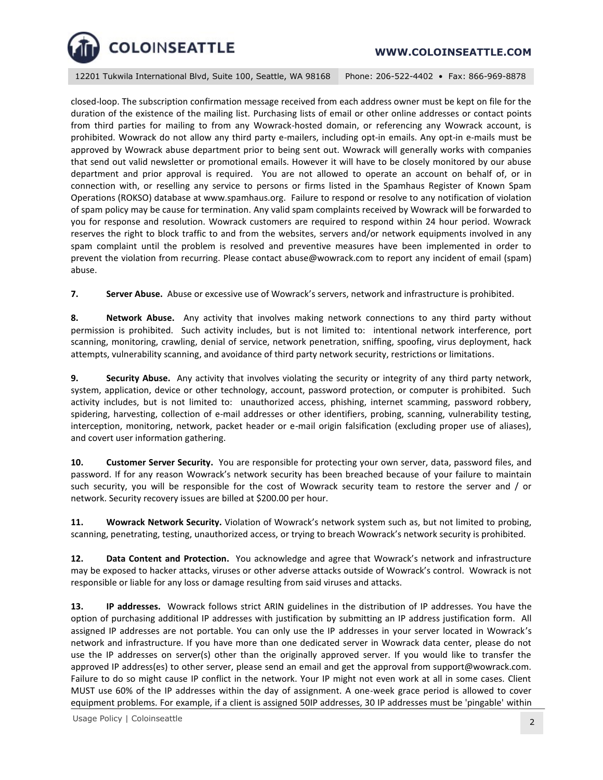

12201 Tukwila International Blvd, Suite 100, Seattle, WA 98168 Phone: 206-522-4402 • Fax: 866-969-8878

closed-loop. The subscription confirmation message received from each address owner must be kept on file for the duration of the existence of the mailing list. Purchasing lists of email or other online addresses or contact points from third parties for mailing to from any Wowrack-hosted domain, or referencing any Wowrack account, is prohibited. Wowrack do not allow any third party e-mailers, including opt-in emails. Any opt-in e-mails must be approved by Wowrack abuse department prior to being sent out. Wowrack will generally works with companies that send out valid newsletter or promotional emails. However it will have to be closely monitored by our abuse department and prior approval is required. You are not allowed to operate an account on behalf of, or in connection with, or reselling any service to persons or firms listed in the Spamhaus Register of Known Spam Operations (ROKSO) database at www.spamhaus.org. Failure to respond or resolve to any notification of violation of spam policy may be cause for termination. Any valid spam complaints received by Wowrack will be forwarded to you for response and resolution. Wowrack customers are required to respond within 24 hour period. Wowrack reserves the right to block traffic to and from the websites, servers and/or network equipments involved in any spam complaint until the problem is resolved and preventive measures have been implemented in order to prevent the violation from recurring. Please contact abuse@wowrack.com to report any incident of email (spam) abuse.

**7. Server Abuse.** Abuse or excessive use of Wowrack's servers, network and infrastructure is prohibited.

**8. Network Abuse.** Any activity that involves making network connections to any third party without permission is prohibited. Such activity includes, but is not limited to: intentional network interference, port scanning, monitoring, crawling, denial of service, network penetration, sniffing, spoofing, virus deployment, hack attempts, vulnerability scanning, and avoidance of third party network security, restrictions or limitations.

**9. Security Abuse.** Any activity that involves violating the security or integrity of any third party network, system, application, device or other technology, account, password protection, or computer is prohibited. Such activity includes, but is not limited to: unauthorized access, phishing, internet scamming, password robbery, spidering, harvesting, collection of e-mail addresses or other identifiers, probing, scanning, vulnerability testing, interception, monitoring, network, packet header or e-mail origin falsification (excluding proper use of aliases), and covert user information gathering.

**10. Customer Server Security.** You are responsible for protecting your own server, data, password files, and password. If for any reason Wowrack's network security has been breached because of your failure to maintain such security, you will be responsible for the cost of Wowrack security team to restore the server and / or network. Security recovery issues are billed at \$200.00 per hour.

**11. Wowrack Network Security.** Violation of Wowrack's network system such as, but not limited to probing, scanning, penetrating, testing, unauthorized access, or trying to breach Wowrack's network security is prohibited.

**12. Data Content and Protection.** You acknowledge and agree that Wowrack's network and infrastructure may be exposed to hacker attacks, viruses or other adverse attacks outside of Wowrack's control. Wowrack is not responsible or liable for any loss or damage resulting from said viruses and attacks.

**13. IP addresses.** Wowrack follows strict ARIN guidelines in the distribution of IP addresses. You have the option of purchasing additional IP addresses with justification by submitting an IP address justification form. All assigned IP addresses are not portable. You can only use the IP addresses in your server located in Wowrack's network and infrastructure. If you have more than one dedicated server in Wowrack data center, please do not use the IP addresses on server(s) other than the originally approved server. If you would like to transfer the approved IP address(es) to other server, please send an email and get the approval from support@wowrack.com. Failure to do so might cause IP conflict in the network. Your IP might not even work at all in some cases. Client MUST use 60% of the IP addresses within the day of assignment. A one-week grace period is allowed to cover equipment problems. For example, if a client is assigned 50IP addresses, 30 IP addresses must be 'pingable' within